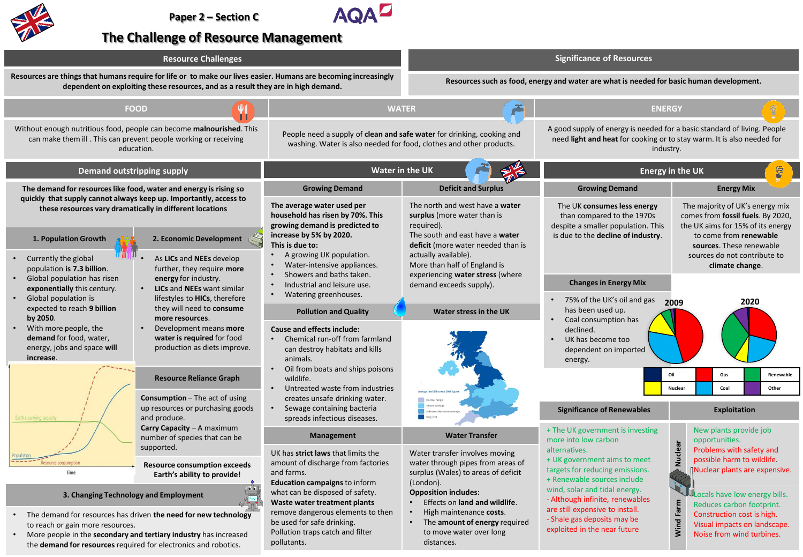

the **demand for resources** required for electronics and robotics.

pollutants.



## **The Challenge of Resource Management**

| <b>Resource Challenges</b>                                                                                                                                                                                                    |                                                                                                                                                                                                                                                                 | <b>Significance of Resources</b>                                                                                                                                                                                                                  |                                                                                                                                                                    |                                                                                                                                                                       |
|-------------------------------------------------------------------------------------------------------------------------------------------------------------------------------------------------------------------------------|-----------------------------------------------------------------------------------------------------------------------------------------------------------------------------------------------------------------------------------------------------------------|---------------------------------------------------------------------------------------------------------------------------------------------------------------------------------------------------------------------------------------------------|--------------------------------------------------------------------------------------------------------------------------------------------------------------------|-----------------------------------------------------------------------------------------------------------------------------------------------------------------------|
| Resources are things that humans require for life or to make our lives easier. Humans are becoming increasingly<br>dependent on exploiting these resources, and as a result they are in high demand.                          |                                                                                                                                                                                                                                                                 | Resources such as food, energy and water are what is needed for basic human development.                                                                                                                                                          |                                                                                                                                                                    |                                                                                                                                                                       |
| <b>FOOD</b>                                                                                                                                                                                                                   |                                                                                                                                                                                                                                                                 | <b>WATER</b>                                                                                                                                                                                                                                      | <b>ENERGY</b>                                                                                                                                                      |                                                                                                                                                                       |
| Without enough nutritious food, people can become malnourished. This<br>can make them ill. This can prevent people working or receiving<br>education.                                                                         | People need a supply of clean and safe water for drinking, cooking and<br>washing. Water is also needed for food, clothes and other products.                                                                                                                   |                                                                                                                                                                                                                                                   | A good supply of energy is needed for a basic standard of living. People<br>need light and heat for cooking or to stay warm. It is also needed for<br>industry.    |                                                                                                                                                                       |
| Demand outstripping supply                                                                                                                                                                                                    | <b>Water in the UK</b>                                                                                                                                                                                                                                          |                                                                                                                                                                                                                                                   | <b>Energy in the UK</b>                                                                                                                                            |                                                                                                                                                                       |
| The demand for resources like food, water and energy is rising so<br>quickly that supply cannot always keep up. Importantly, access to<br>these resources vary dramatically in different locations                            | <b>Growing Demand</b>                                                                                                                                                                                                                                           | <b>Deficit and Surplus</b>                                                                                                                                                                                                                        | <b>Growing Demand</b>                                                                                                                                              | <b>Energy Mix</b>                                                                                                                                                     |
|                                                                                                                                                                                                                               | The average water used per<br>household has risen by 70%. This<br>growing demand is predicted to<br>increase by 5% by 2020.<br>This is due to:<br>A growing UK population.<br>$\bullet$<br>Water-intensive appliances.<br>Showers and baths taken.<br>$\bullet$ | The north and west have a water<br>surplus (more water than is<br>required).<br>The south and east have a water<br>deficit (more water needed than is<br>actually available).<br>More than half of England is<br>experiencing water stress (where | The UK consumes less energy<br>than compared to the 1970s<br>despite a smaller population. This<br>is due to the decline of industry.                              | The majority of UK's energy mix<br>comes from fossil fuels. By 2020,<br>the UK aims for 15% of its energy<br>to come from renewable<br>sources. These renewable       |
| 1. Population Growth<br>2. Economic Development                                                                                                                                                                               |                                                                                                                                                                                                                                                                 |                                                                                                                                                                                                                                                   |                                                                                                                                                                    |                                                                                                                                                                       |
| Currently the global<br>As LICs and NEEs develop<br>population is 7.3 billion.<br>further, they require more<br>Global population has risen<br>energy for industry.                                                           |                                                                                                                                                                                                                                                                 |                                                                                                                                                                                                                                                   |                                                                                                                                                                    | sources do not contribute to<br>climate change.                                                                                                                       |
| exponentially this century.<br>LICs and NEEs want similar<br>Global population is<br>lifestyles to HICs, therefore                                                                                                            | Industrial and leisure use.<br>Watering greenhouses.                                                                                                                                                                                                            | demand exceeds supply).                                                                                                                                                                                                                           | <b>Changes in Energy Mix</b><br>75% of the UK's oil and gas                                                                                                        |                                                                                                                                                                       |
| expected to reach 9 billion<br>they will need to consume<br>by 2050.<br>more resources.                                                                                                                                       | <b>Pollution and Quality</b>                                                                                                                                                                                                                                    | Water stress in the UK                                                                                                                                                                                                                            | has been used up.<br>Coal consumption has                                                                                                                          | 2020<br>2009                                                                                                                                                          |
| With more people, the<br>Development means more<br>demand for food, water,<br>water is required for food<br>energy, jobs and space will<br>production as diets improve.<br>increase.                                          | <b>Cause and effects include:</b><br>Chemical run-off from farmland<br>$\bullet$<br>can destroy habitats and kills<br>animals.                                                                                                                                  |                                                                                                                                                                                                                                                   | declined.<br>UK has become too<br>dependent on imported<br>energy.                                                                                                 |                                                                                                                                                                       |
| <b>Resource Reliance Graph</b>                                                                                                                                                                                                | Oil from boats and ships poisons<br>$\bullet$<br>wildlife.                                                                                                                                                                                                      |                                                                                                                                                                                                                                                   |                                                                                                                                                                    | Oil<br>Gas<br>Renewable                                                                                                                                               |
| <b>Consumption</b> $-$ The act of using                                                                                                                                                                                       | Untreated waste from industries<br>creates unsafe drinking water.                                                                                                                                                                                               |                                                                                                                                                                                                                                                   |                                                                                                                                                                    | Coal<br>Nuclear<br>Other                                                                                                                                              |
| up resources or purchasing goods<br>and produce.<br>Earth's carrying capac                                                                                                                                                    | Sewage containing bacteria<br>spreads infectious diseases.                                                                                                                                                                                                      |                                                                                                                                                                                                                                                   | <b>Significance of Renewables</b>                                                                                                                                  | <b>Exploitation</b>                                                                                                                                                   |
| Carry Capacity - A maximum<br>number of species that can be                                                                                                                                                                   | Management                                                                                                                                                                                                                                                      | <b>Water Transfer</b>                                                                                                                                                                                                                             | + The UK government is investing<br>more into low carbon                                                                                                           | New plants provide job<br>opportunities.                                                                                                                              |
| supported.                                                                                                                                                                                                                    | UK has strict laws that limits the                                                                                                                                                                                                                              | Water transfer involves moving                                                                                                                                                                                                                    | alternatives.<br>+ UK government aims to meet                                                                                                                      | Nuclear<br>Problems with safety and<br>possible harm to wildlife.                                                                                                     |
| <b>Resource consumption exceeds</b><br>Time<br>Earth's ability to provide!                                                                                                                                                    | amount of discharge from factories<br>and farms.                                                                                                                                                                                                                | water through pipes from areas of<br>surplus (Wales) to areas of deficit                                                                                                                                                                          | targets for reducing emissions.<br>+ Renewable sources include                                                                                                     | Muclear plants are expensive.                                                                                                                                         |
| $\bullet$<br>3. Changing Technology and Employment<br>The demand for resources has driven the need for new technology<br>to reach or gain more resources.<br>More people in the secondary and tertiary industry has increased | <b>Education campaigns to inform</b><br>what can be disposed of safety.<br>Waste water treatment plants<br>remove dangerous elements to then<br>be used for safe drinking.<br>Pollution traps catch and filter                                                  | (London).<br><b>Opposition includes:</b><br>Effects on land and wildlife.<br>$\bullet$<br>High maintenance costs.<br>The amount of energy required<br>to move water over long                                                                     | wind, solar and tidal energy.<br>- Although infinite, renewables<br>are still expensive to install.<br>- Shale gas deposits may be<br>exploited in the near future | Locals have low energy bills.<br>Farm<br>Reduces carbon footprint.<br>Construction cost is high.<br>Wind<br>Visual impacts on landscape.<br>Noise from wind turbines. |

distances.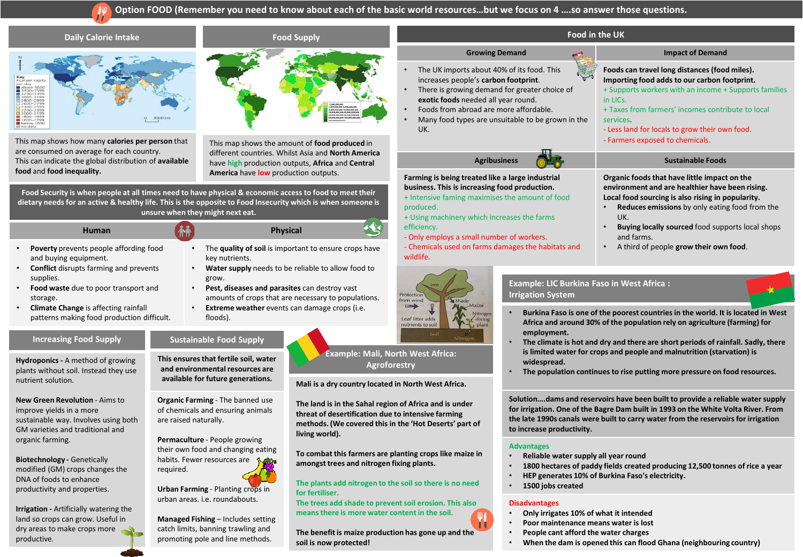## **Option FOOD (Remember you need to know about each of the basic world resources…but we focus on 4 ….so answer those questions.**



## **Disadvantages**

- **Only irrigates 10% of what it intended**
- **Poor maintenance means water is lost**
- **People cant afford the water charges**
- **When the dam is opened this can flood Ghana (neighbouring country)**

**Urban Farming** - Planting crops in urban areas. i.e. roundabouts.

**Irrigation -** Artificially watering the land so crops can grow. Useful in dry areas to make crops more

productive.

**Managed Fishing** – Includes setting catch limits, banning trawling and promoting pole and line methods.

**for fertiliser.** 

**The trees add shade to prevent soil erosion. This also means there is more water content in the soil.** 

**The benefit is maize production has gone up and the soil is now protected!**